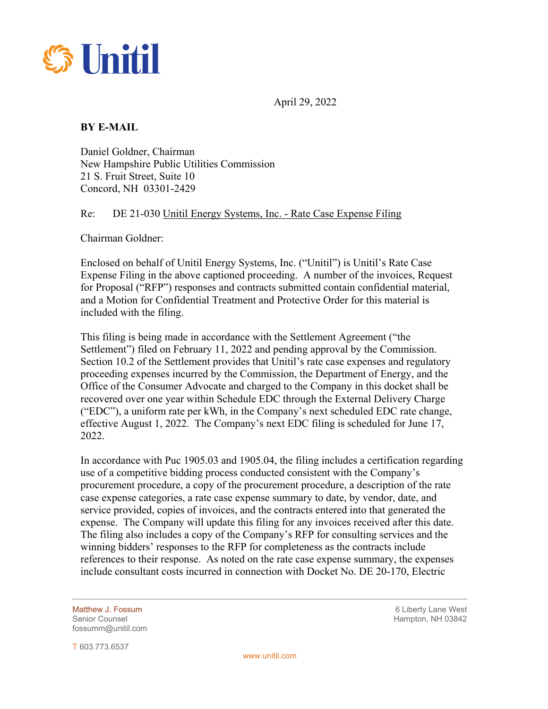

April 29, 2022

## **BY E-MAIL**

Daniel Goldner, Chairman New Hampshire Public Utilities Commission 21 S. Fruit Street, Suite 10 Concord, NH 03301-2429

## Re: DE 21-030 Unitil Energy Systems, Inc. - Rate Case Expense Filing

Chairman Goldner:

Enclosed on behalf of Unitil Energy Systems, Inc. ("Unitil") is Unitil's Rate Case Expense Filing in the above captioned proceeding. A number of the invoices, Request for Proposal ("RFP") responses and contracts submitted contain confidential material, and a Motion for Confidential Treatment and Protective Order for this material is included with the filing.

This filing is being made in accordance with the Settlement Agreement ("the Settlement") filed on February 11, 2022 and pending approval by the Commission. Section 10.2 of the Settlement provides that Unitil's rate case expenses and regulatory proceeding expenses incurred by the Commission, the Department of Energy, and the Office of the Consumer Advocate and charged to the Company in this docket shall be recovered over one year within Schedule EDC through the External Delivery Charge ("EDC"), a uniform rate per kWh, in the Company's next scheduled EDC rate change, effective August 1, 2022. The Company's next EDC filing is scheduled for June 17, 2022.

In accordance with Puc 1905.03 and 1905.04, the filing includes a certification regarding use of a competitive bidding process conducted consistent with the Company's procurement procedure, a copy of the procurement procedure, a description of the rate case expense categories, a rate case expense summary to date, by vendor, date, and service provided, copies of invoices, and the contracts entered into that generated the expense. The Company will update this filing for any invoices received after this date. The filing also includes a copy of the Company's RFP for consulting services and the winning bidders' responses to the RFP for completeness as the contracts include references to their response. As noted on the rate case expense summary, the expenses include consultant costs incurred in connection with Docket No. DE 20-170, Electric

Matthew J. Fossum and the control of the control of the control of the control of the control of the control of the control of the control of the control of the control of the control of the control of the control of the c fossumm@unitil.com

Hampton, NH 03842

T 603.773.6537

 $\overline{a}$